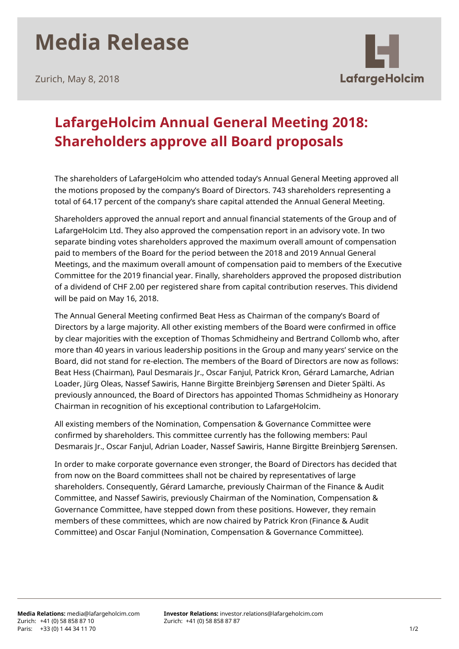## **Media Release**

Zurich, May 8, 2018



## **LafargeHolcim Annual General Meeting 2018: Shareholders approve all Board proposals**

The shareholders of LafargeHolcim who attended today's Annual General Meeting approved all the motions proposed by the company's Board of Directors. 743 shareholders representing a total of 64.17 percent of the company's share capital attended the Annual General Meeting.

Shareholders approved the annual report and annual financial statements of the Group and of LafargeHolcim Ltd. They also approved the compensation report in an advisory vote. In two separate binding votes shareholders approved the maximum overall amount of compensation paid to members of the Board for the period between the 2018 and 2019 Annual General Meetings, and the maximum overall amount of compensation paid to members of the Executive Committee for the 2019 financial year. Finally, shareholders approved the proposed distribution of a dividend of CHF 2.00 per registered share from capital contribution reserves. This dividend will be paid on May 16, 2018.

The Annual General Meeting confirmed Beat Hess as Chairman of the company's Board of Directors by a large majority. All other existing members of the Board were confirmed in office by clear majorities with the exception of Thomas Schmidheiny and Bertrand Collomb who, after more than 40 years in various leadership positions in the Group and many years' service on the Board, did not stand for re-election. The members of the Board of Directors are now as follows: Beat Hess (Chairman), Paul Desmarais Jr., Oscar Fanjul, Patrick Kron, Gérard Lamarche, Adrian Loader, Jürg Oleas, Nassef Sawiris, Hanne Birgitte Breinbjerg Sørensen and Dieter Spälti. As previously announced, the Board of Directors has appointed Thomas Schmidheiny as Honorary Chairman in recognition of his exceptional contribution to LafargeHolcim.

All existing members of the Nomination, Compensation & Governance Committee were confirmed by shareholders. This committee currently has the following members: Paul Desmarais Jr., Oscar Fanjul, Adrian Loader, Nassef Sawiris, Hanne Birgitte Breinbjerg Sørensen.

In order to make corporate governance even stronger, the Board of Directors has decided that from now on the Board committees shall not be chaired by representatives of large shareholders. Consequently, Gérard Lamarche, previously Chairman of the Finance & Audit Committee, and Nassef Sawiris, previously Chairman of the Nomination, Compensation & Governance Committee, have stepped down from these positions. However, they remain members of these committees, which are now chaired by Patrick Kron (Finance & Audit Committee) and Oscar Fanjul (Nomination, Compensation & Governance Committee).